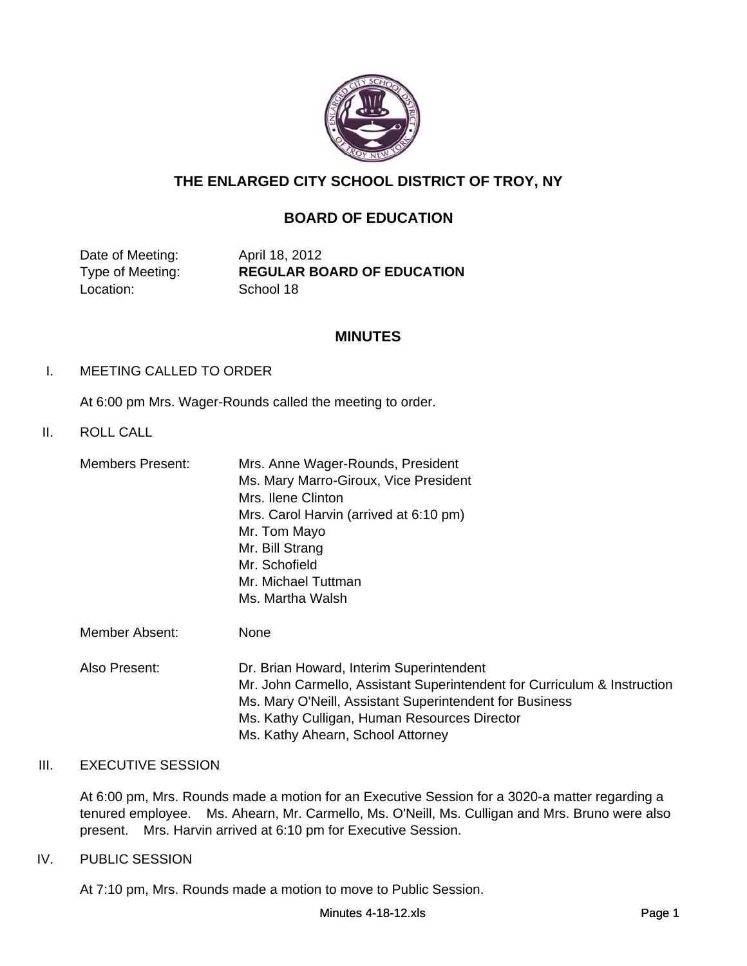

# **THE ENLARGED CITY SCHOOL DISTRICT OF TROY, NY**

# **BOARD OF EDUCATION**

Date of Meeting: April 18, 2012 Location: School 18

Type of Meeting: **REGULAR BOARD OF EDUCATION**

#### **MINUTES**

#### I. MEETING CALLED TO ORDER

At 6:00 pm Mrs. Wager-Rounds called the meeting to order.

## II. ROLL CALL

| Members Present: | Mrs. Anne Wager-Rounds, President      |
|------------------|----------------------------------------|
|                  | Ms. Mary Marro-Giroux, Vice President  |
|                  | Mrs. Ilene Clinton                     |
|                  | Mrs. Carol Harvin (arrived at 6:10 pm) |
|                  | Mr. Tom Mayo                           |
|                  | Mr. Bill Strang                        |
|                  | Mr. Schofield                          |
|                  | Mr. Michael Tuttman                    |
|                  | Ms. Martha Walsh                       |
|                  |                                        |

Member Absent: None

Also Present: Dr. Brian Howard, Interim Superintendent Mr. John Carmello, Assistant Superintendent for Curriculum & Instruction Ms. Mary O'Neill, Assistant Superintendent for Business Ms. Kathy Culligan, Human Resources Director Ms. Kathy Ahearn, School Attorney

### III. EXECUTIVE SESSION

At 6:00 pm, Mrs. Rounds made a motion for an Executive Session for a 3020-a matter regarding a tenured employee. Ms. Ahearn, Mr. Carmello, Ms. O'Neill, Ms. Culligan and Mrs. Bruno were also present. Mrs. Harvin arrived at 6:10 pm for Executive Session.

#### IV. PUBLIC SESSION

At 7:10 pm, Mrs. Rounds made a motion to move to Public Session.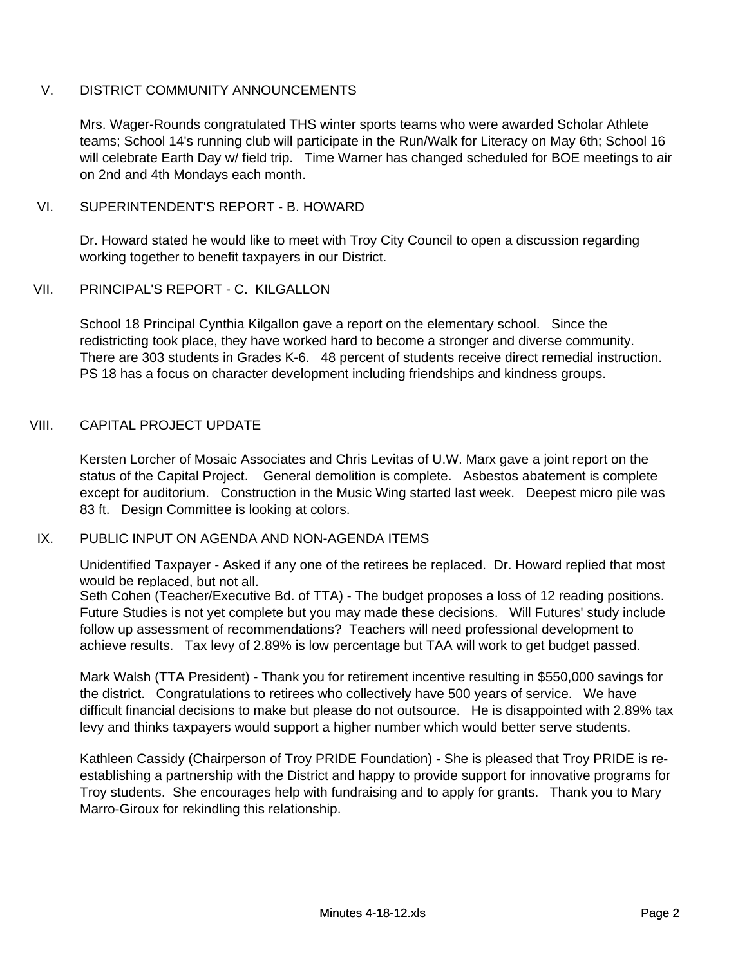## V. DISTRICT COMMUNITY ANNOUNCEMENTS

Mrs. Wager-Rounds congratulated THS winter sports teams who were awarded Scholar Athlete teams; School 14's running club will participate in the Run/Walk for Literacy on May 6th; School 16 will celebrate Earth Day w/ field trip. Time Warner has changed scheduled for BOE meetings to air on 2nd and 4th Mondays each month.

### VI. SUPERINTENDENT'S REPORT - B. HOWARD

Dr. Howard stated he would like to meet with Troy City Council to open a discussion regarding working together to benefit taxpayers in our District.

### VII. PRINCIPAL'S REPORT - C. KILGALLON

School 18 Principal Cynthia Kilgallon gave a report on the elementary school. Since the redistricting took place, they have worked hard to become a stronger and diverse community. There are 303 students in Grades K-6. 48 percent of students receive direct remedial instruction. PS 18 has a focus on character development including friendships and kindness groups.

### VIII. CAPITAL PROJECT UPDATE

Kersten Lorcher of Mosaic Associates and Chris Levitas of U.W. Marx gave a joint report on the status of the Capital Project. General demolition is complete. Asbestos abatement is complete except for auditorium. Construction in the Music Wing started last week. Deepest micro pile was 83 ft. Design Committee is looking at colors.

### IX. PUBLIC INPUT ON AGENDA AND NON-AGENDA ITEMS

Unidentified Taxpayer - Asked if any one of the retirees be replaced. Dr. Howard replied that most would be replaced, but not all.

Seth Cohen (Teacher/Executive Bd. of TTA) - The budget proposes a loss of 12 reading positions. Future Studies is not yet complete but you may made these decisions. Will Futures' study include follow up assessment of recommendations? Teachers will need professional development to achieve results. Tax levy of 2.89% is low percentage but TAA will work to get budget passed.

Mark Walsh (TTA President) - Thank you for retirement incentive resulting in \$550,000 savings for the district. Congratulations to retirees who collectively have 500 years of service. We have difficult financial decisions to make but please do not outsource. He is disappointed with 2.89% tax levy and thinks taxpayers would support a higher number which would better serve students.

Kathleen Cassidy (Chairperson of Troy PRIDE Foundation) - She is pleased that Troy PRIDE is reestablishing a partnership with the District and happy to provide support for innovative programs for Troy students. She encourages help with fundraising and to apply for grants. Thank you to Mary Marro-Giroux for rekindling this relationship.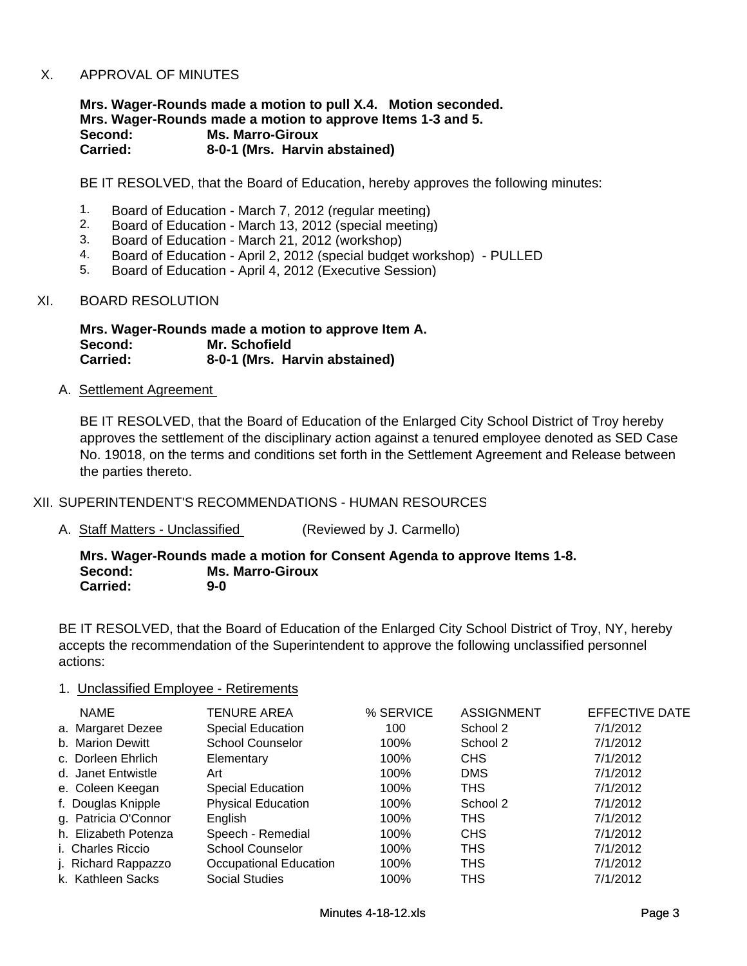#### X. APPROVAL OF MINUTES

**Mrs. Wager-Rounds made a motion to pull X.4. Motion seconded. Mrs. Wager-Rounds made a motion to approve Items 1-3 and 5. Second: Ms. Marro-Giroux Carried: 8-0-1 (Mrs. Harvin abstained)**

BE IT RESOLVED, that the Board of Education, hereby approves the following minutes:

- 1. Board of Education March 7, 2012 (regular meeting)
- 2. Board of Education March 13, 2012 (special meeting)
- 3. Board of Education March 21, 2012 (workshop)
- 4. Board of Education April 2, 2012 (special budget workshop) PULLED<br>5. Board of Education April 4, 2012 (Executive Session)
- 5. Board of Education April 4, 2012 (Executive Session)

#### XI. BOARD RESOLUTION

**Mrs. Wager-Rounds made a motion to approve Item A. Second: Mr. Schofield Carried: 8-0-1 (Mrs. Harvin abstained)**

A. Settlement Agreement

BE IT RESOLVED, that the Board of Education of the Enlarged City School District of Troy hereby approves the settlement of the disciplinary action against a tenured employee denoted as SED Case No. 19018, on the terms and conditions set forth in the Settlement Agreement and Release between the parties thereto.

#### XII. SUPERINTENDENT'S RECOMMENDATIONS - HUMAN RESOURCES

A. Staff Matters - Unclassified (Reviewed by J. Carmello)

**Mrs. Wager-Rounds made a motion for Consent Agenda to approve Items 1-8. Second: Ms. Marro-Giroux Carried: 9-0**

BE IT RESOLVED, that the Board of Education of the Enlarged City School District of Troy, NY, hereby accepts the recommendation of the Superintendent to approve the following unclassified personnel actions:

#### 1. Unclassified Employee - Retirements

| <b>NAME</b>          | <b>TENURE AREA</b>        | % SERVICE | <b>ASSIGNMENT</b> | EFFECTIVE DATE |
|----------------------|---------------------------|-----------|-------------------|----------------|
| a. Margaret Dezee    | Special Education         | 100       | School 2          | 7/1/2012       |
| b. Marion Dewitt     | <b>School Counselor</b>   | 100%      | School 2          | 7/1/2012       |
| c. Dorleen Ehrlich   | Elementary                | 100%      | <b>CHS</b>        | 7/1/2012       |
| d. Janet Entwistle   | Art                       | 100%      | <b>DMS</b>        | 7/1/2012       |
| e. Coleen Keegan     | Special Education         | 100%      | <b>THS</b>        | 7/1/2012       |
| f. Douglas Knipple   | <b>Physical Education</b> | 100%      | School 2          | 7/1/2012       |
| g. Patricia O'Connor | English                   | 100%      | <b>THS</b>        | 7/1/2012       |
| h. Elizabeth Potenza | Speech - Remedial         | 100%      | <b>CHS</b>        | 7/1/2012       |
| i. Charles Riccio    | <b>School Counselor</b>   | 100%      | <b>THS</b>        | 7/1/2012       |
| j. Richard Rappazzo  | Occupational Education    | 100%      | <b>THS</b>        | 7/1/2012       |
| k. Kathleen Sacks    | <b>Social Studies</b>     | 100%      | <b>THS</b>        | 7/1/2012       |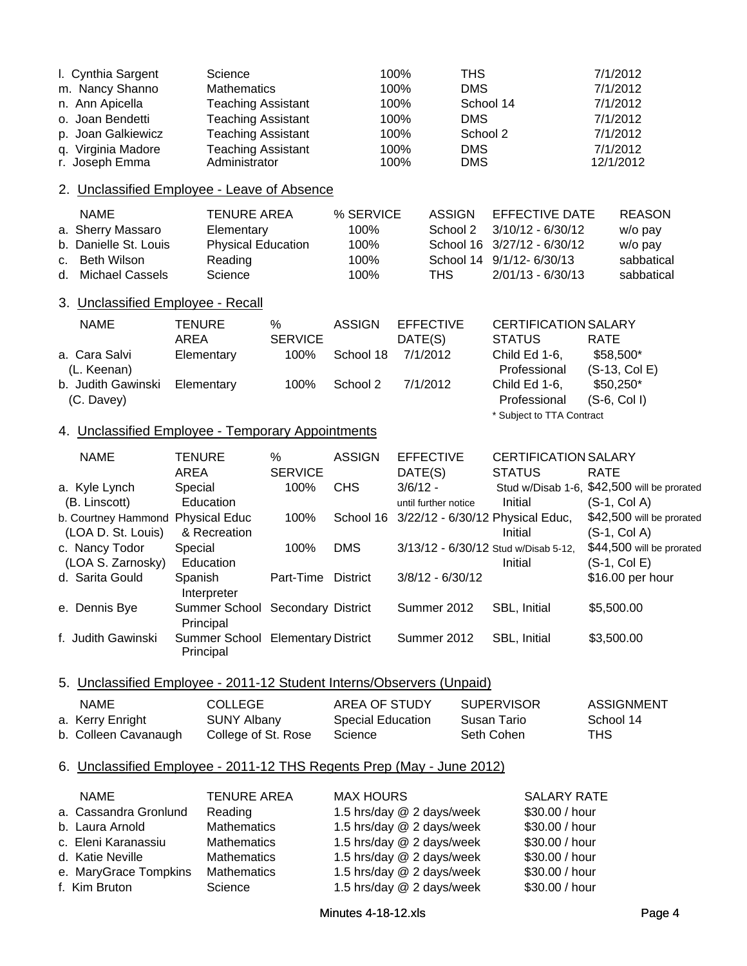| I. Cynthia Sargent<br>m. Nancy Shanno<br>n. Ann Apicella<br>o. Joan Bendetti<br>p. Joan Galkiewicz<br>q. Virginia Madore<br>r. Joseph Emma   | Science<br><b>Mathematics</b><br>Administrator                                                              | <b>Teaching Assistant</b><br><b>Teaching Assistant</b><br><b>Teaching Assistant</b><br><b>Teaching Assistant</b> |                                                      | 100%<br><b>THS</b><br><b>DMS</b><br>100%<br>100%<br>100%<br><b>DMS</b><br>100%<br>100%<br><b>DMS</b><br>100%<br><b>DMS</b>                                                 | School 14<br>School 2                                                                                                                       | 7/1/2012<br>7/1/2012<br>7/1/2012<br>7/1/2012<br>7/1/2012<br>7/1/2012<br>12/1/2012 |
|----------------------------------------------------------------------------------------------------------------------------------------------|-------------------------------------------------------------------------------------------------------------|------------------------------------------------------------------------------------------------------------------|------------------------------------------------------|----------------------------------------------------------------------------------------------------------------------------------------------------------------------------|---------------------------------------------------------------------------------------------------------------------------------------------|-----------------------------------------------------------------------------------|
| 2. Unclassified Employee - Leave of Absence                                                                                                  |                                                                                                             |                                                                                                                  |                                                      |                                                                                                                                                                            |                                                                                                                                             |                                                                                   |
| <b>NAME</b><br>a. Sherry Massaro<br>b. Danielle St. Louis<br><b>Beth Wilson</b><br>c.<br><b>Michael Cassels</b><br>d.                        | <b>TENURE AREA</b><br>Elementary<br>Reading<br>Science                                                      | <b>Physical Education</b>                                                                                        | % SERVICE<br>100%<br>100%<br>100%<br>100%            | <b>ASSIGN</b><br>School 2<br>School 16<br><b>THS</b>                                                                                                                       | <b>EFFECTIVE DATE</b><br>3/10/12 - 6/30/12<br>$3/27/12 - 6/30/12$<br>School 14 9/1/12-6/30/13<br>$2/01/13 - 6/30/13$                        | <b>REASON</b><br>w/o pay<br>w/o pay<br>sabbatical<br>sabbatical                   |
| 3. Unclassified Employee - Recall                                                                                                            |                                                                                                             |                                                                                                                  |                                                      |                                                                                                                                                                            |                                                                                                                                             |                                                                                   |
| <b>NAME</b><br>a. Cara Salvi<br>(L. Keenan)<br>b. Judith Gawinski<br>(C. Davey)                                                              | <b>TENURE</b><br><b>AREA</b><br>Elementary<br>Elementary                                                    | %<br><b>SERVICE</b><br>100%<br>100%                                                                              | <b>ASSIGN</b><br>School 18<br>School 2               | <b>EFFECTIVE</b><br>DATE(S)<br>7/1/2012<br>7/1/2012                                                                                                                        | <b>CERTIFICATION SALARY</b><br><b>STATUS</b><br>Child Ed 1-6,<br>Professional<br>Child Ed 1-6,<br>Professional<br>* Subject to TTA Contract | <b>RATE</b><br>\$58,500*<br>$(S-13, Col E)$<br>\$50,250*<br>$(S-6, Col I)$        |
| 4. Unclassified Employee - Temporary Appointments                                                                                            |                                                                                                             |                                                                                                                  |                                                      |                                                                                                                                                                            |                                                                                                                                             |                                                                                   |
| <b>NAME</b><br>a. Kyle Lynch                                                                                                                 | <b>TENURE</b><br><b>AREA</b><br>Special                                                                     | %<br><b>SERVICE</b><br>100%                                                                                      | <b>ASSIGN</b><br><b>CHS</b>                          | <b>EFFECTIVE</b><br>DATE(S)<br>$3/6/12 -$                                                                                                                                  | <b>CERTIFICATION SALARY</b><br><b>STATUS</b>                                                                                                | <b>RATE</b><br>Stud w/Disab 1-6, \$42,500 will be prorated                        |
| (B. Linscott)<br>b. Courtney Hammond<br>(LOA D. St. Louis)                                                                                   | Education<br><b>Physical Educ</b><br>& Recreation                                                           | 100%                                                                                                             | School 16                                            | until further notice                                                                                                                                                       | Initial<br>3/22/12 - 6/30/12 Physical Educ,<br>Initial                                                                                      | $(S-1, Col A)$<br>\$42,500 will be prorated<br>$(S-1, Col A)$                     |
| c. Nancy Todor<br>(LOA S. Zarnosky)<br>d. Sarita Gould                                                                                       | Special<br>Education<br>Spanish<br>Interpreter                                                              | 100%<br>Part-Time                                                                                                | <b>DMS</b><br><b>District</b>                        | $3/8/12 - 6/30/12$                                                                                                                                                         | 3/13/12 - 6/30/12 Stud w/Disab 5-12,<br>Initial                                                                                             | \$44,500 will be prorated<br>$(S-1, Col E)$<br>\$16.00 per hour                   |
| e. Dennis Bye                                                                                                                                | Summer School                                                                                               | Secondary District                                                                                               |                                                      | Summer 2012                                                                                                                                                                | SBL, Initial                                                                                                                                | \$5,500.00                                                                        |
| f. Judith Gawinski                                                                                                                           | Principal<br>Summer School Elementary District<br>Principal                                                 |                                                                                                                  |                                                      | Summer 2012                                                                                                                                                                | SBL, Initial                                                                                                                                | \$3,500.00                                                                        |
| 5. Unclassified Employee - 2011-12 Student Interns/Observers (Unpaid)                                                                        |                                                                                                             |                                                                                                                  |                                                      |                                                                                                                                                                            |                                                                                                                                             |                                                                                   |
| <b>NAME</b><br>a. Kerry Enright<br>b. Colleen Cavanaugh                                                                                      | <b>COLLEGE</b><br><b>SUNY Albany</b>                                                                        | College of St. Rose                                                                                              | AREA OF STUDY<br><b>Special Education</b><br>Science |                                                                                                                                                                            | <b>SUPERVISOR</b><br>Susan Tario<br>Seth Cohen                                                                                              | <b>ASSIGNMENT</b><br>School 14<br><b>THS</b>                                      |
| 6. Unclassified Employee - 2011-12 THS Regents Prep (May - June 2012)                                                                        |                                                                                                             |                                                                                                                  |                                                      |                                                                                                                                                                            |                                                                                                                                             |                                                                                   |
| <b>NAME</b><br>a. Cassandra Gronlund<br>b. Laura Arnold<br>c. Eleni Karanassiu<br>d. Katie Neville<br>e. MaryGrace Tompkins<br>f. Kim Bruton | <b>TENURE AREA</b><br>Reading<br>Mathematics<br><b>Mathematics</b><br>Mathematics<br>Mathematics<br>Science |                                                                                                                  | <b>MAX HOURS</b>                                     | 1.5 hrs/day @ 2 days/week<br>1.5 hrs/day @ 2 days/week<br>1.5 hrs/day @ 2 days/week<br>1.5 hrs/day @ 2 days/week<br>1.5 hrs/day @ 2 days/week<br>1.5 hrs/day @ 2 days/week | <b>SALARY RATE</b><br>\$30.00 / hour<br>\$30.00 / hour<br>\$30.00 / hour<br>\$30.00 / hour<br>\$30.00 / hour<br>\$30.00 / hour              |                                                                                   |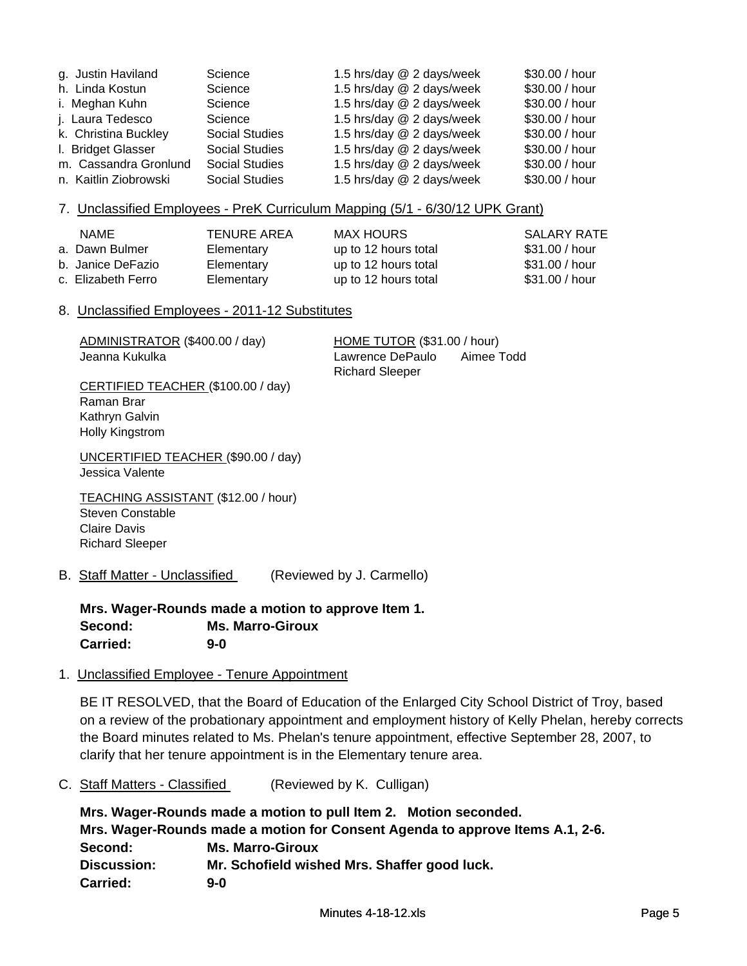| g. Justin Haviland    | Science               | 1.5 hrs/day @ 2 days/week | \$30.00 / hour |
|-----------------------|-----------------------|---------------------------|----------------|
| h. Linda Kostun       | Science               | 1.5 hrs/day @ 2 days/week | \$30.00 / hour |
| i. Meghan Kuhn        | Science               | 1.5 hrs/day @ 2 days/week | \$30.00 / hour |
| j. Laura Tedesco      | Science               | 1.5 hrs/day @ 2 days/week | \$30.00 / hour |
| k. Christina Buckley  | <b>Social Studies</b> | 1.5 hrs/day @ 2 days/week | \$30.00 / hour |
| I. Bridget Glasser    | <b>Social Studies</b> | 1.5 hrs/day @ 2 days/week | \$30.00 / hour |
| m. Cassandra Gronlund | <b>Social Studies</b> | 1.5 hrs/day @ 2 days/week | \$30.00 / hour |
| n. Kaitlin Ziobrowski | <b>Social Studies</b> | 1.5 hrs/day @ 2 days/week | \$30.00 / hour |

#### 7. Unclassified Employees - PreK Curriculum Mapping (5/1 - 6/30/12 UPK Grant)

| <b>NAME</b>           | <b>TENURE AREA</b> | MAX HOURS            | SALARY RATE    |
|-----------------------|--------------------|----------------------|----------------|
| a.  Dawn Bulmer       | Elementary         | up to 12 hours total | \$31.00 / hour |
| b.  Janice DeFazio .  | Elementary         | up to 12 hours total | \$31.00 / hour |
| c.  Elizabeth Ferro i | Elementary         | up to 12 hours total | \$31.00 / hour |

#### 8. Unclassified Employees - 2011-12 Substitutes

ADMINISTRATOR (\$400.00 / day) HOME TUTOR (\$31.00 / hour)

Jeanna Kukulka Lawrence DePaulo Aimee Todd Richard Sleeper

CERTIFIED TEACHER (\$100.00 / day) Raman Brar Kathryn Galvin Holly Kingstrom

UNCERTIFIED TEACHER (\$90.00 / day) Jessica Valente

TEACHING ASSISTANT (\$12.00 / hour) Steven Constable Claire Davis Richard Sleeper

B. Staff Matter - Unclassified (Reviewed by J. Carmello)

**Mrs. Wager-Rounds made a motion to approve Item 1. Second: Ms. Marro-Giroux Carried: 9-0**

1. Unclassified Employee - Tenure Appointment

BE IT RESOLVED, that the Board of Education of the Enlarged City School District of Troy, based on a review of the probationary appointment and employment history of Kelly Phelan, hereby corrects the Board minutes related to Ms. Phelan's tenure appointment, effective September 28, 2007, to clarify that her tenure appointment is in the Elementary tenure area.

C. Staff Matters - Classified (Reviewed by K. Culligan)

**Mrs. Wager-Rounds made a motion to pull Item 2. Motion seconded. Mrs. Wager-Rounds made a motion for Consent Agenda to approve Items A.1, 2-6. Second: Ms. Marro-Giroux Discussion: Mr. Schofield wished Mrs. Shaffer good luck. Carried: 9-0**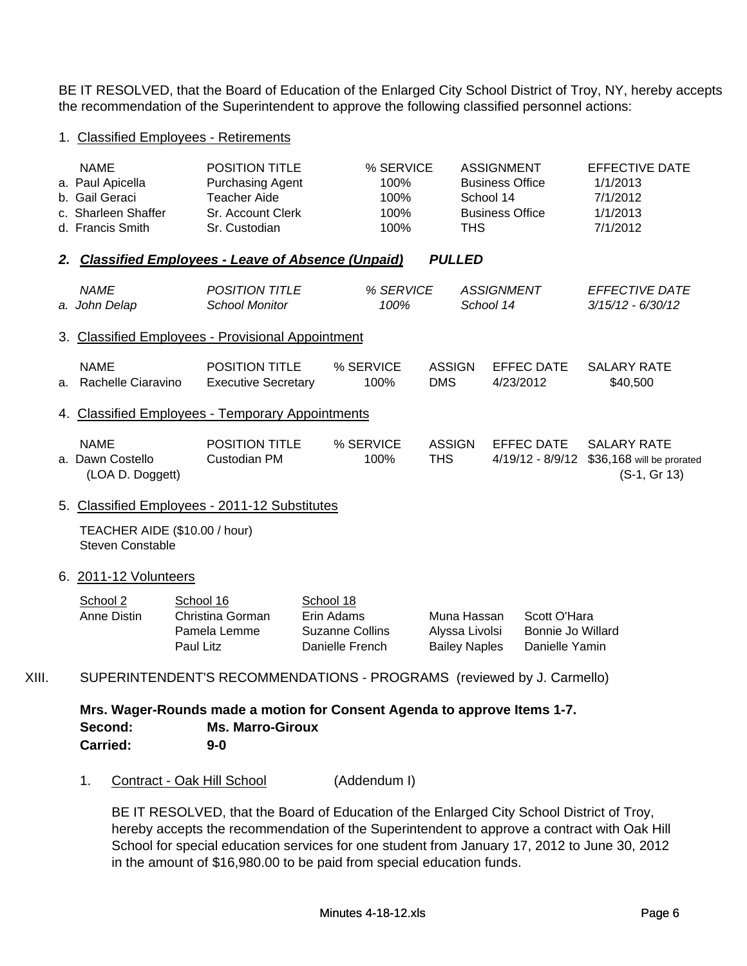BE IT RESOLVED, that the Board of Education of the Enlarged City School District of Troy, NY, hereby accepts the recommendation of the Superintendent to approve the following classified personnel actions:

#### 1. Classified Employees - Retirements

|    | <b>NAME</b>                                         | <b>POSITION TITLE</b>      | % SERVICE |               |               | <b>ASSIGNMENT</b>      | <b>EFFECTIVE DATE</b>                     |
|----|-----------------------------------------------------|----------------------------|-----------|---------------|---------------|------------------------|-------------------------------------------|
|    | a. Paul Apicella                                    | <b>Purchasing Agent</b>    | 100%      |               |               | <b>Business Office</b> | 1/1/2013                                  |
|    | b. Gail Geraci                                      | Teacher Aide               | 100%      |               | School 14     |                        | 7/1/2012                                  |
|    | c. Sharleen Shaffer                                 | Sr. Account Clerk          | 100%      |               |               | <b>Business Office</b> | 1/1/2013                                  |
|    | d. Francis Smith                                    | Sr. Custodian              | 100%      |               | THS.          |                        | 7/1/2012                                  |
|    | 2. Classified Employees - Leave of Absence (Unpaid) |                            |           |               | <b>PULLED</b> |                        |                                           |
|    | <b>NAME</b>                                         | <b>POSITION TITLE</b>      | % SERVICE |               |               | <b>ASSIGNMENT</b>      | <b>EFFECTIVE DATE</b>                     |
|    | a. John Delap                                       | <b>School Monitor</b>      | 100%      |               | School 14     |                        | $3/15/12 - 6/30/12$                       |
|    | 3. Classified Employees - Provisional Appointment   |                            |           |               |               |                        |                                           |
|    | <b>NAME</b>                                         | POSITION TITLE             | % SERVICE | <b>ASSIGN</b> |               | <b>EFFEC DATE</b>      | <b>SALARY RATE</b>                        |
| a. | Rachelle Ciaravino                                  | <b>Executive Secretary</b> | 100%      | <b>DMS</b>    |               | 4/23/2012              | \$40,500                                  |
|    | 4. Classified Employees - Temporary Appointments    |                            |           |               |               |                        |                                           |
|    | <b>NAME</b>                                         | <b>POSITION TITLE</b>      | % SERVICE | <b>ASSIGN</b> |               | EFFEC DATE             | <b>SALARY RATE</b>                        |
| a. | Dawn Costello<br>(LOA D. Doggett)                   | Custodian PM               | 100%      | THS.          |               | 4/19/12 - 8/9/12       | \$36,168 will be prorated<br>(S-1, Gr 13) |
|    |                                                     |                            |           |               |               |                        |                                           |

#### 5. Classified Employees - 2011-12 Substitutes

TEACHER AIDE (\$10.00 / hour) Steven Constable

#### 6. 2011-12 Volunteers

| School 2    | School 16        | School 18              |                      |                   |
|-------------|------------------|------------------------|----------------------|-------------------|
| Anne Distin | Christina Gorman | Erin Adams             | Muna Hassan          | Scott O'Hara      |
|             | Pamela Lemme     | <b>Suzanne Collins</b> | Alyssa Livolsi       | Bonnie Jo Willard |
|             | Paul Litz        | Danielle French        | <b>Bailey Naples</b> | Danielle Yamin    |

## XIII. SUPERINTENDENT'S RECOMMENDATIONS - PROGRAMS (reviewed by J. Carmello)

**Mrs. Wager-Rounds made a motion for Consent Agenda to approve Items 1-7. Second: Ms. Marro-Giroux Carried: 9-0**

1. Contract - Oak Hill School (Addendum I)

BE IT RESOLVED, that the Board of Education of the Enlarged City School District of Troy, hereby accepts the recommendation of the Superintendent to approve a contract with Oak Hill School for special education services for one student from January 17, 2012 to June 30, 2012 in the amount of \$16,980.00 to be paid from special education funds.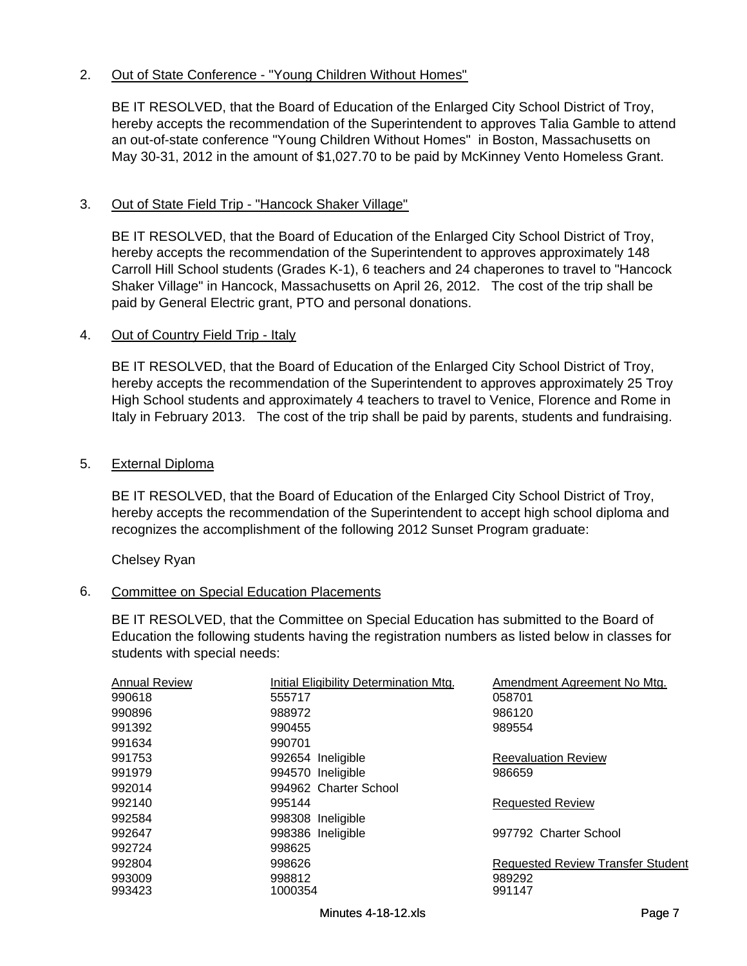## 2. Out of State Conference - "Young Children Without Homes"

BE IT RESOLVED, that the Board of Education of the Enlarged City School District of Troy, hereby accepts the recommendation of the Superintendent to approves Talia Gamble to attend an out-of-state conference "Young Children Without Homes" in Boston, Massachusetts on May 30-31, 2012 in the amount of \$1,027.70 to be paid by McKinney Vento Homeless Grant.

#### 3. Out of State Field Trip - "Hancock Shaker Village"

BE IT RESOLVED, that the Board of Education of the Enlarged City School District of Troy, hereby accepts the recommendation of the Superintendent to approves approximately 148 Carroll Hill School students (Grades K-1), 6 teachers and 24 chaperones to travel to "Hancock Shaker Village" in Hancock, Massachusetts on April 26, 2012. The cost of the trip shall be paid by General Electric grant, PTO and personal donations.

#### 4. Out of Country Field Trip - Italy

BE IT RESOLVED, that the Board of Education of the Enlarged City School District of Troy, hereby accepts the recommendation of the Superintendent to approves approximately 25 Troy High School students and approximately 4 teachers to travel to Venice, Florence and Rome in Italy in February 2013. The cost of the trip shall be paid by parents, students and fundraising.

#### 5. External Diploma

BE IT RESOLVED, that the Board of Education of the Enlarged City School District of Troy, hereby accepts the recommendation of the Superintendent to accept high school diploma and recognizes the accomplishment of the following 2012 Sunset Program graduate:

Chelsey Ryan

### 6. Committee on Special Education Placements

BE IT RESOLVED, that the Committee on Special Education has submitted to the Board of Education the following students having the registration numbers as listed below in classes for students with special needs:

| <b>Annual Review</b> | Initial Eligibility Determination Mtg. | Amendment Agreement No Mtg.              |
|----------------------|----------------------------------------|------------------------------------------|
| 990618               | 555717                                 | 058701                                   |
| 990896               | 988972                                 | 986120                                   |
| 991392               | 990455                                 | 989554                                   |
| 991634               | 990701                                 |                                          |
| 991753               | 992654 Ineligible                      | <b>Reevaluation Review</b>               |
| 991979               | 994570 Ineligible                      | 986659                                   |
| 992014               | 994962 Charter School                  |                                          |
| 992140               | 995144                                 | <b>Requested Review</b>                  |
| 992584               | 998308 Ineligible                      |                                          |
| 992647               | 998386 Ineligible                      | 997792 Charter School                    |
| 992724               | 998625                                 |                                          |
| 992804               | 998626                                 | <b>Requested Review Transfer Student</b> |
| 993009               | 998812                                 | 989292                                   |
| 993423               | 1000354                                | 991147                                   |
|                      |                                        |                                          |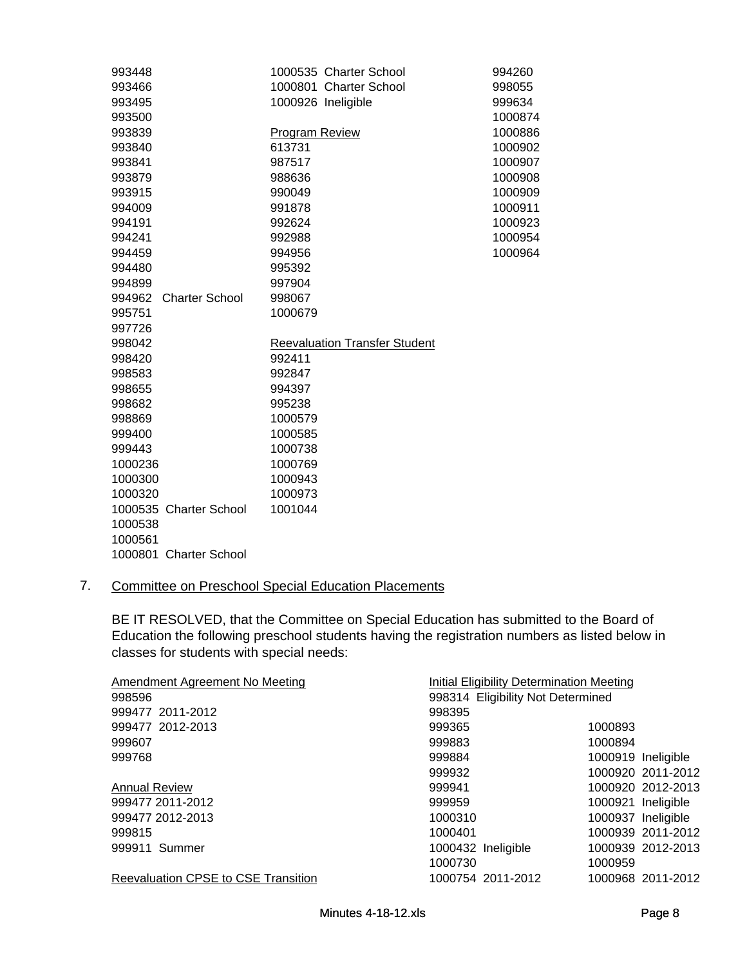| 993448                          | 1000535 Charter School               | 994260  |
|---------------------------------|--------------------------------------|---------|
| 993466                          | 1000801 Charter School               | 998055  |
| 993495                          | 1000926 Ineligible                   | 999634  |
| 993500                          |                                      | 1000874 |
| 993839                          | <b>Program Review</b>                | 1000886 |
| 993840                          | 613731                               | 1000902 |
| 993841                          | 987517                               | 1000907 |
| 993879                          | 988636                               | 1000908 |
| 993915                          | 990049                               | 1000909 |
| 994009                          | 991878                               | 1000911 |
| 994191                          | 992624                               | 1000923 |
| 994241                          | 992988                               | 1000954 |
| 994459                          | 994956                               | 1000964 |
| 994480                          | 995392                               |         |
| 994899                          | 997904                               |         |
| 994962<br><b>Charter School</b> | 998067                               |         |
| 995751                          | 1000679                              |         |
| 997726                          |                                      |         |
| 998042                          | <b>Reevaluation Transfer Student</b> |         |
| 998420                          | 992411                               |         |
| 998583                          | 992847                               |         |
| 998655                          | 994397                               |         |
| 998682                          | 995238                               |         |
| 998869                          | 1000579                              |         |
| 999400                          | 1000585                              |         |
| 999443                          | 1000738                              |         |
| 1000236                         | 1000769                              |         |
| 1000300                         | 1000943                              |         |
| 1000320                         | 1000973                              |         |
| 1000535 Charter School          | 1001044                              |         |
| 1000538                         |                                      |         |
| 1000561                         |                                      |         |
| 1000801 Charter School          |                                      |         |

## 7. Committee on Preschool Special Education Placements

BE IT RESOLVED, that the Committee on Special Education has submitted to the Board of Education the following preschool students having the registration numbers as listed below in classes for students with special needs:

|                    | Initial Eligibility Determination Meeting<br>Amendment Agreement No Meeting |                                   |  |
|--------------------|-----------------------------------------------------------------------------|-----------------------------------|--|
|                    |                                                                             |                                   |  |
| 998395             |                                                                             |                                   |  |
| 999365             | 1000893                                                                     |                                   |  |
| 999883             | 1000894                                                                     |                                   |  |
| 999884             |                                                                             | 1000919 Ineligible                |  |
| 999932             |                                                                             | 1000920 2011-2012                 |  |
| 999941             |                                                                             | 1000920 2012-2013                 |  |
| 999959             |                                                                             | 1000921 Ineligible                |  |
| 1000310            |                                                                             | 1000937 Ineligible                |  |
| 1000401            |                                                                             | 1000939 2011-2012                 |  |
| 1000432 Ineligible |                                                                             | 1000939 2012-2013                 |  |
| 1000730            | 1000959                                                                     |                                   |  |
| 1000754 2011-2012  |                                                                             | 1000968 2011-2012                 |  |
|                    |                                                                             | 998314 Eligibility Not Determined |  |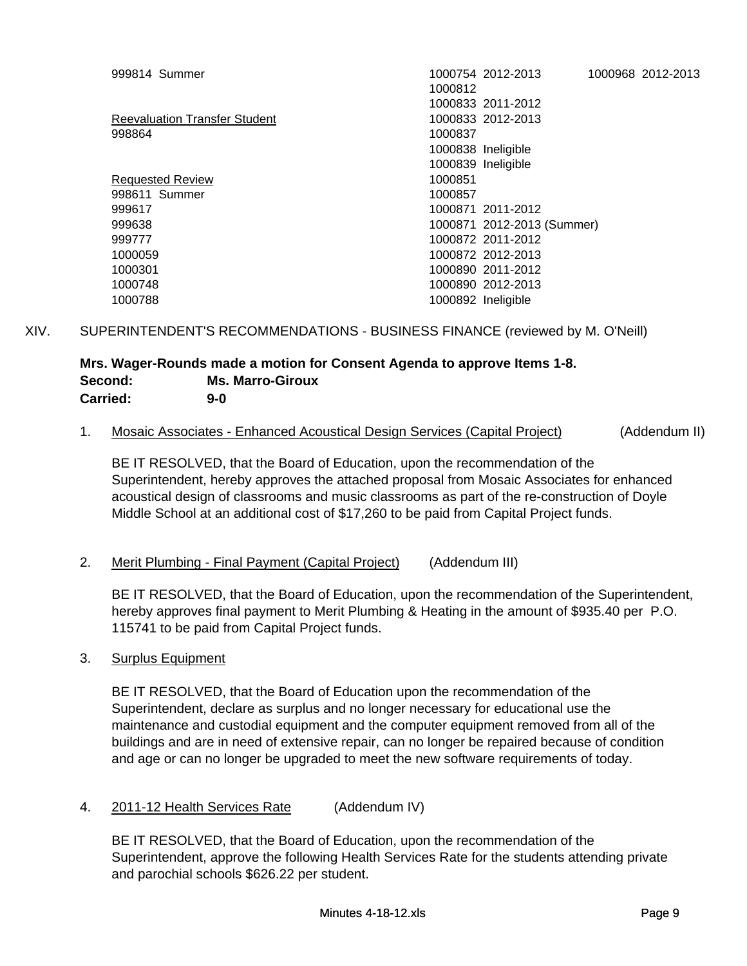| 999814 Summer                        | 1000968 2012-2013<br>1000754 2012-2013 |
|--------------------------------------|----------------------------------------|
|                                      | 1000812                                |
|                                      | 1000833 2011-2012                      |
| <b>Reevaluation Transfer Student</b> | 1000833 2012-2013                      |
| 998864                               | 1000837                                |
|                                      | 1000838 Ineligible                     |
|                                      | 1000839 Ineligible                     |
| <b>Requested Review</b>              | 1000851                                |
| 998611 Summer                        | 1000857                                |
| 999617                               | 1000871 2011-2012                      |
| 999638                               | 1000871 2012-2013 (Summer)             |
| 999777                               | 1000872 2011-2012                      |
| 1000059                              | 1000872 2012-2013                      |
| 1000301                              | 1000890 2011-2012                      |
| 1000748                              | 1000890 2012-2013                      |
| 1000788                              | 1000892 Ineligible                     |
|                                      |                                        |

## XIV. SUPERINTENDENT'S RECOMMENDATIONS - BUSINESS FINANCE (reviewed by M. O'Neill)

## **Mrs. Wager-Rounds made a motion for Consent Agenda to approve Items 1-8. Second: Ms. Marro-Giroux Carried: 9-0**

### 1. Mosaic Associates - Enhanced Acoustical Design Services (Capital Project) (Addendum II)

BE IT RESOLVED, that the Board of Education, upon the recommendation of the Superintendent, hereby approves the attached proposal from Mosaic Associates for enhanced acoustical design of classrooms and music classrooms as part of the re-construction of Doyle Middle School at an additional cost of \$17,260 to be paid from Capital Project funds.

### 2. Merit Plumbing - Final Payment (Capital Project) (Addendum III)

BE IT RESOLVED, that the Board of Education, upon the recommendation of the Superintendent, hereby approves final payment to Merit Plumbing & Heating in the amount of \$935.40 per P.O. 115741 to be paid from Capital Project funds.

### 3. Surplus Equipment

BE IT RESOLVED, that the Board of Education upon the recommendation of the Superintendent, declare as surplus and no longer necessary for educational use the maintenance and custodial equipment and the computer equipment removed from all of the buildings and are in need of extensive repair, can no longer be repaired because of condition and age or can no longer be upgraded to meet the new software requirements of today.

4. 2011-12 Health Services Rate (Addendum IV)

BE IT RESOLVED, that the Board of Education, upon the recommendation of the Superintendent, approve the following Health Services Rate for the students attending private and parochial schools \$626.22 per student.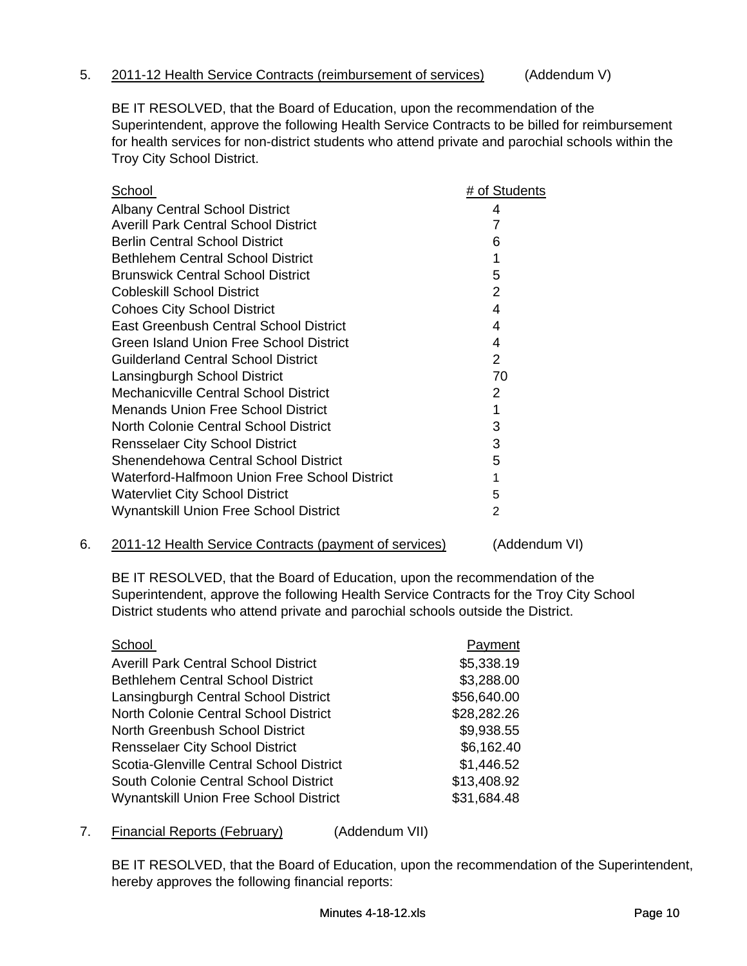#### 5. 2011-12 Health Service Contracts (reimbursement of services) (Addendum V)

BE IT RESOLVED, that the Board of Education, upon the recommendation of the Superintendent, approve the following Health Service Contracts to be billed for reimbursement for health services for non-district students who attend private and parochial schools within the Troy City School District.

| School                                         | # of Students |
|------------------------------------------------|---------------|
| <b>Albany Central School District</b>          | 4             |
| <b>Averill Park Central School District</b>    | 7             |
| <b>Berlin Central School District</b>          | 6             |
| <b>Bethlehem Central School District</b>       | 1             |
| <b>Brunswick Central School District</b>       | 5             |
| <b>Cobleskill School District</b>              | 2             |
| <b>Cohoes City School District</b>             | 4             |
| <b>East Greenbush Central School District</b>  | 4             |
| <b>Green Island Union Free School District</b> | 4             |
| Guilderland Central School District            | $\mathcal{P}$ |
| Lansingburgh School District                   | 70            |
| Mechanicville Central School District          | 2             |
| Menands Union Free School District             | 1             |
| North Colonie Central School District          | 3             |
| <b>Rensselaer City School District</b>         | 3             |
| Shenendehowa Central School District           | 5             |
| Waterford-Halfmoon Union Free School District  | 1             |
| <b>Watervliet City School District</b>         | 5             |
| Wynantskill Union Free School District         | 2             |
|                                                |               |

6. 2011-12 Health Service Contracts (payment of services) (Addendum VI)

BE IT RESOLVED, that the Board of Education, upon the recommendation of the Superintendent, approve the following Health Service Contracts for the Troy City School District students who attend private and parochial schools outside the District.

| School                                        | Payment     |
|-----------------------------------------------|-------------|
| <b>Averill Park Central School District</b>   | \$5,338.19  |
| <b>Bethlehem Central School District</b>      | \$3,288.00  |
| Lansingburgh Central School District          | \$56,640.00 |
| North Colonie Central School District         | \$28,282.26 |
| North Greenbush School District               | \$9,938.55  |
| <b>Rensselaer City School District</b>        | \$6,162.40  |
| Scotia-Glenville Central School District      | \$1,446.52  |
| South Colonie Central School District         | \$13,408.92 |
| <b>Wynantskill Union Free School District</b> | \$31,684.48 |

7. Financial Reports (February) (Addendum VII)

BE IT RESOLVED, that the Board of Education, upon the recommendation of the Superintendent, hereby approves the following financial reports: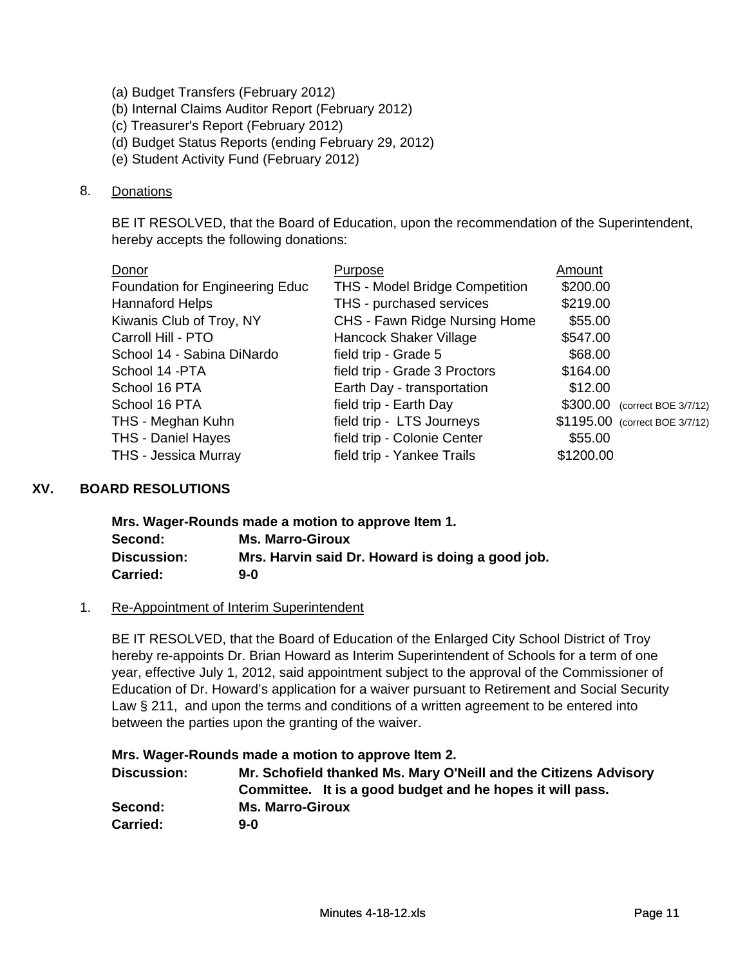- (a) Budget Transfers (February 2012)
- (b) Internal Claims Auditor Report (February 2012)
- (c) Treasurer's Report (February 2012)
- (d) Budget Status Reports (ending February 29, 2012)
- (e) Student Activity Fund (February 2012)

#### 8. Donations

BE IT RESOLVED, that the Board of Education, upon the recommendation of the Superintendent, hereby accepts the following donations:

| Donor                           | Purpose                               | Amount    |                                |
|---------------------------------|---------------------------------------|-----------|--------------------------------|
| Foundation for Engineering Educ | <b>THS - Model Bridge Competition</b> | \$200.00  |                                |
| <b>Hannaford Helps</b>          | THS - purchased services              | \$219.00  |                                |
| Kiwanis Club of Troy, NY        | CHS - Fawn Ridge Nursing Home         | \$55.00   |                                |
| Carroll Hill - PTO              | Hancock Shaker Village                | \$547.00  |                                |
| School 14 - Sabina DiNardo      | field trip - Grade 5                  | \$68.00   |                                |
| School 14 - PTA                 | field trip - Grade 3 Proctors         | \$164.00  |                                |
| School 16 PTA                   | Earth Day - transportation            | \$12.00   |                                |
| School 16 PTA                   | field trip - Earth Day                |           | \$300.00 (correct BOE 3/7/12)  |
| THS - Meghan Kuhn               | field trip - LTS Journeys             |           | \$1195.00 (correct BOE 3/7/12) |
| <b>THS - Daniel Hayes</b>       | field trip - Colonie Center           | \$55.00   |                                |
| <b>THS - Jessica Murray</b>     | field trip - Yankee Trails            | \$1200.00 |                                |

### **XV. BOARD RESOLUTIONS**

| THS - Jessica Murray  | field trip - Yankee Trails                                                               | \$1200.00 |
|-----------------------|------------------------------------------------------------------------------------------|-----------|
| <b>RD RESOLUTIONS</b> |                                                                                          |           |
|                       | Mrs. Wager-Rounds made a motion to approve Item 1.                                       |           |
| Second:               | <b>Ms. Marro-Giroux</b>                                                                  |           |
| <b>Discussion:</b>    | Mrs. Harvin said Dr. Howard is doing a good job.                                         |           |
| <b>Carried:</b>       | $9 - 0$                                                                                  |           |
|                       | Re-Appointment of Interim Superintendent                                                 |           |
|                       | BE IT RESOLVED, that the Board of Education of the Enlarged City School District of Troy |           |

#### 1. Re-Appointment of Interim Superintendent

hereby re-appoints Dr. Brian Howard as Interim Superintendent of Schools for a term of one year, effective July 1, 2012, said appointment subject to the approval of the Commissioner of Education of Dr. Howard's application for a waiver pursuant to Retirement and Social Security Law § 211, and upon the terms and conditions of a written agreement to be entered into between the parties upon the granting of the waiver.

#### **Mrs. Wager-Rounds made a motion to approve Item 2.**

| <b>Discussion:</b> | Mr. Schofield thanked Ms. Mary O'Neill and the Citizens Advisory |  |
|--------------------|------------------------------------------------------------------|--|
|                    | Committee. It is a good budget and he hopes it will pass.        |  |
| Second:            | <b>Ms. Marro-Giroux</b>                                          |  |
| <b>Carried:</b>    | 9-0                                                              |  |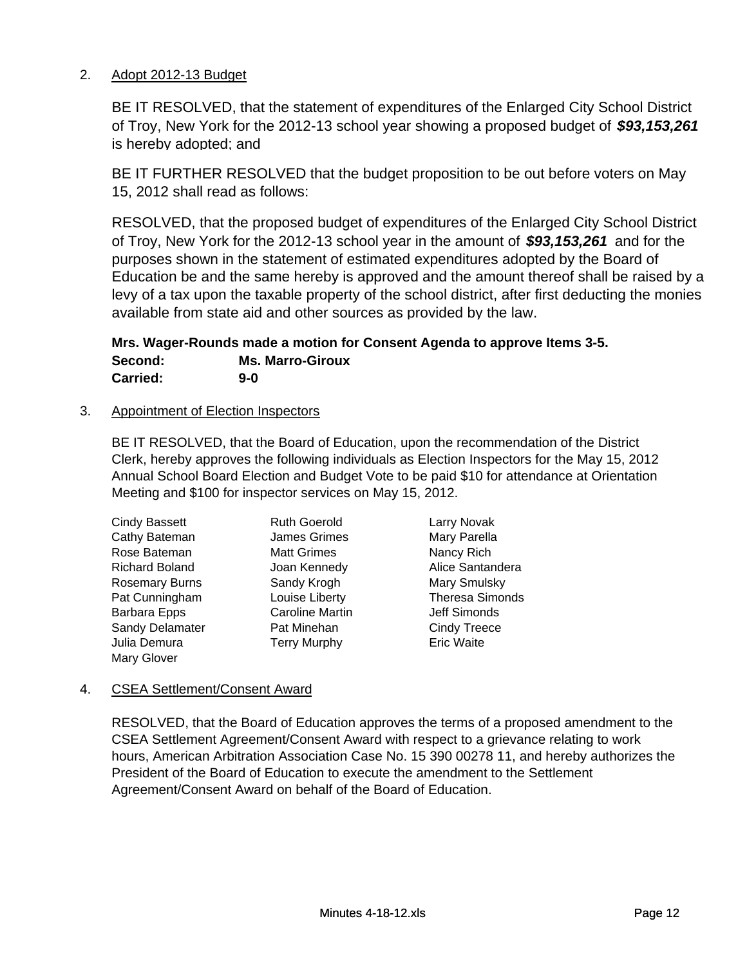## 2. Adopt 2012-13 Budget

BE IT RESOLVED, that the statement of expenditures of the Enlarged City School District of Troy, New York for the 2012-13 school year showing a proposed budget of *\$93,153,261*  is hereby adopted; and

BE IT FURTHER RESOLVED that the budget proposition to be out before voters on May 15, 2012 shall read as follows:

RESOLVED, that the proposed budget of expenditures of the Enlarged City School District of Troy, New York for the 2012-13 school year in the amount of *\$93,153,261* and for the purposes shown in the statement of estimated expenditures adopted by the Board of Education be and the same hereby is approved and the amount thereof shall be raised by a levy of a tax upon the taxable property of the school district, after first deducting the monies available from state aid and other sources as provided by the law.

**Mrs. Wager-Rounds made a motion for Consent Agenda to approve Items 3-5. Second: Ms. Marro-Giroux Carried: 9-0**

### 3. Appointment of Election Inspectors

BE IT RESOLVED, that the Board of Education, upon the recommendation of the District Clerk, hereby approves the following individuals as Election Inspectors for the May 15, 2012 Annual School Board Election and Budget Vote to be paid \$10 for attendance at Orientation Meeting and \$100 for inspector services on May 15, 2012.

| <b>Cindy Bassett</b>  |
|-----------------------|
| Cathy Bateman         |
| Rose Bateman          |
| <b>Richard Boland</b> |
| <b>Rosemary Burns</b> |
| Pat Cunningham        |
| Barbara Epps          |
| Sandy Delamater       |
| Julia Demura          |
| <b>Mary Glover</b>    |
|                       |

Ruth Goerold Larry Novak James Grimes Mary Parella Matt Grimes Nancy Rich **Sandy Krogh Mary Smulsky** Caroline Martin **In Tarabara Caroline Martin** Jeff Simonds Pat Minehan **Cindy Treece** Terry Murphy **Eric Waite** 

Joan Kennedy **Alice Santandera** Louise Liberty Theresa Simonds

### 4. CSEA Settlement/Consent Award

RESOLVED, that the Board of Education approves the terms of a proposed amendment to the CSEA Settlement Agreement/Consent Award with respect to a grievance relating to work hours, American Arbitration Association Case No. 15 390 00278 11, and hereby authorizes the President of the Board of Education to execute the amendment to the Settlement Agreement/Consent Award on behalf of the Board of Education.